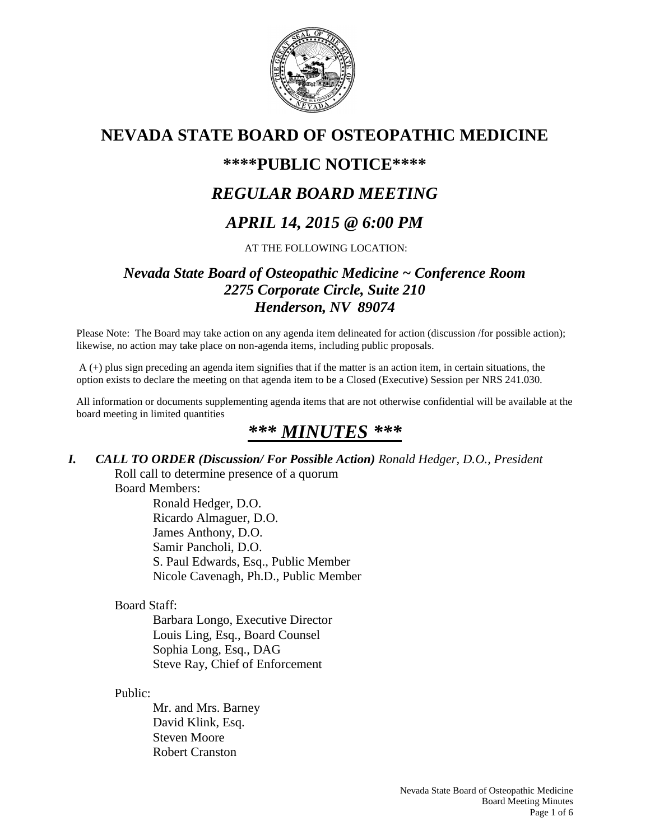

# **NEVADA STATE BOARD OF OSTEOPATHIC MEDICINE**

# **\*\*\*\*PUBLIC NOTICE\*\*\*\***

# *REGULAR BOARD MEETING*

# *APRIL 14, 2015 @ 6:00 PM*

#### AT THE FOLLOWING LOCATION:

## *Nevada State Board of Osteopathic Medicine ~ Conference Room 2275 Corporate Circle, Suite 210 Henderson, NV 89074*

Please Note: The Board may take action on any agenda item delineated for action (discussion /for possible action); likewise, no action may take place on non-agenda items, including public proposals.

A (+) plus sign preceding an agenda item signifies that if the matter is an action item, in certain situations, the option exists to declare the meeting on that agenda item to be a Closed (Executive) Session per NRS 241.030.

All information or documents supplementing agenda items that are not otherwise confidential will be available at the board meeting in limited quantities

# *\*\*\* MINUTES \*\*\**

#### *I. CALL TO ORDER (Discussion/ For Possible Action) Ronald Hedger, D.O., President* Roll call to determine presence of a quorum

Board Members:

Ronald Hedger, D.O. Ricardo Almaguer, D.O. James Anthony, D.O. Samir Pancholi, D.O. S. Paul Edwards, Esq., Public Member Nicole Cavenagh, Ph.D., Public Member

Board Staff:

Barbara Longo, Executive Director Louis Ling, Esq., Board Counsel Sophia Long, Esq., DAG Steve Ray, Chief of Enforcement

Public:

Mr. and Mrs. Barney David Klink, Esq. Steven Moore Robert Cranston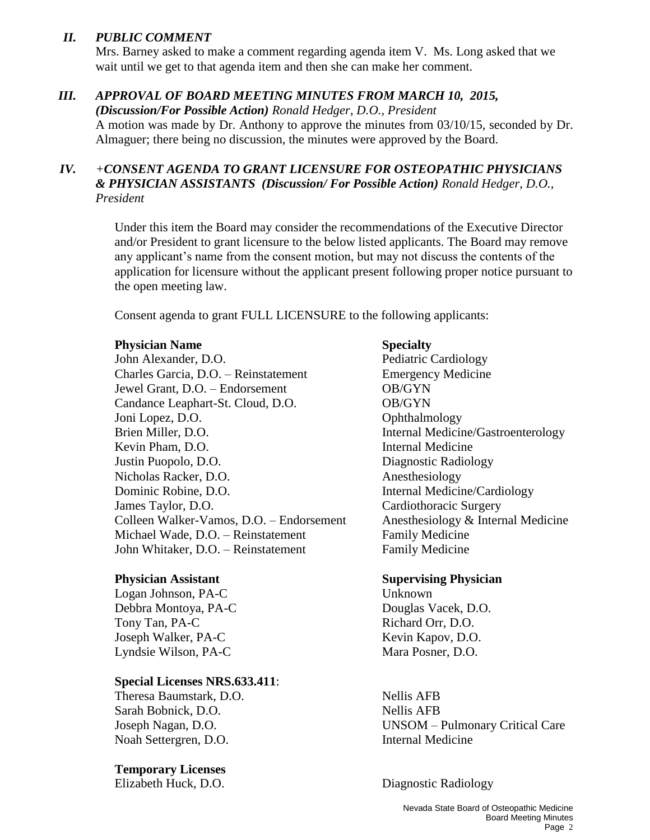#### *II. PUBLIC COMMENT*

Mrs. Barney asked to make a comment regarding agenda item V. Ms. Long asked that we wait until we get to that agenda item and then she can make her comment.

#### *III. APPROVAL OF BOARD MEETING MINUTES FROM MARCH 10, 2015,*

*(Discussion/For Possible Action) Ronald Hedger, D.O., President* A motion was made by Dr. Anthony to approve the minutes from 03/10/15, seconded by Dr. Almaguer; there being no discussion, the minutes were approved by the Board.

#### *IV. +CONSENT AGENDA TO GRANT LICENSURE FOR OSTEOPATHIC PHYSICIANS & PHYSICIAN ASSISTANTS (Discussion/ For Possible Action) Ronald Hedger, D.O., President*

Under this item the Board may consider the recommendations of the Executive Director and/or President to grant licensure to the below listed applicants. The Board may remove any applicant's name from the consent motion, but may not discuss the contents of the application for licensure without the applicant present following proper notice pursuant to the open meeting law.

Consent agenda to grant FULL LICENSURE to the following applicants:

#### **Physician Name Specialty**

John Alexander, D.O. Pediatric Cardiology Charles Garcia, D.O. – Reinstatement Emergency Medicine Jewel Grant, D.O. – Endorsement OB/GYN Candance Leaphart-St. Cloud, D.O. **OB/GYN** Joni Lopez, D.O. Communication of the Communication of Communication of Communication of Communication of Communication of Communication of Communication of Communication of Communication of Communication of Communication Brien Miller, D.O. Internal Medicine/Gastroenterology Kevin Pham, D.O. **Internal Medicine** Justin Puopolo, D.O. Diagnostic Radiology Nicholas Racker, D.O. Anesthesiology Dominic Robine, D.O. **Internal Medicine/Cardiology** James Taylor, D.O. Cardiothoracic Surgery Colleen Walker-Vamos, D.O. – Endorsement Anesthesiology & Internal Medicine Michael Wade, D.O. – Reinstatement Family Medicine John Whitaker, D.O. – Reinstatement Family Medicine

Logan Johnson, PA-C Unknown Debbra Montoya, PA-C Douglas Vacek, D.O. Tony Tan, PA-C Richard Orr, D.O. Joseph Walker, PA-C Kevin Kapov, D.O. Lyndsie Wilson, PA-C Mara Posner, D.O.

#### **Special Licenses NRS.633.411**:

Theresa Baumstark, D.O. Nellis AFB Sarah Bobnick, D.O. Nellis AFB Noah Settergren, D.O. Internal Medicine

**Temporary Licenses**

#### **Physician Assistant Supervising Physician**

# Joseph Nagan, D.O. UNSOM – Pulmonary Critical Care

Elizabeth Huck, D.O. Diagnostic Radiology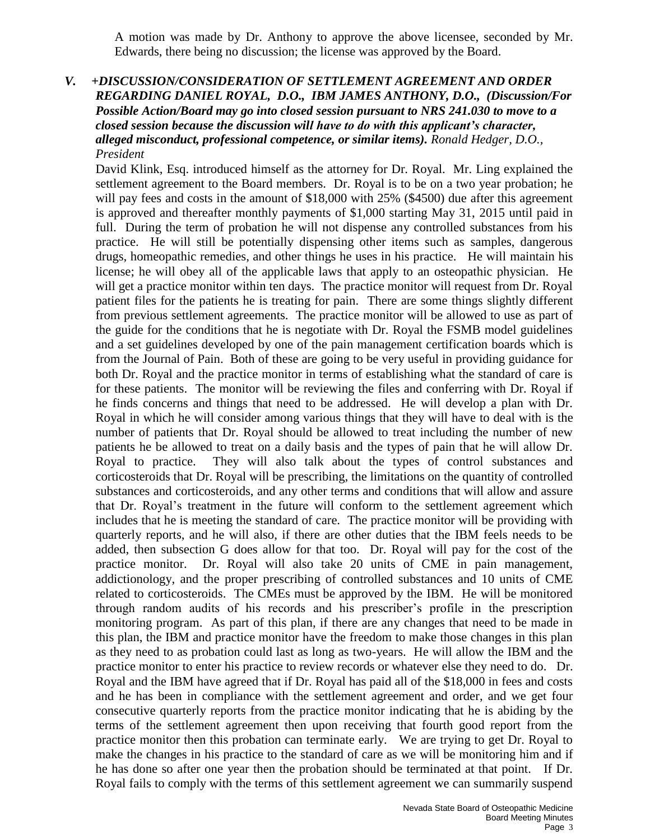A motion was made by Dr. Anthony to approve the above licensee, seconded by Mr. Edwards, there being no discussion; the license was approved by the Board.

#### *V. +DISCUSSION/CONSIDERATION OF SETTLEMENT AGREEMENT AND ORDER REGARDING DANIEL ROYAL, D.O., IBM JAMES ANTHONY, D.O., (Discussion/For Possible Action/Board may go into closed session pursuant to NRS 241.030 to move to a closed session because the discussion will have to do with this applicant's character, alleged misconduct, professional competence, or similar items). Ronald Hedger, D.O., President*

David Klink, Esq. introduced himself as the attorney for Dr. Royal. Mr. Ling explained the settlement agreement to the Board members. Dr. Royal is to be on a two year probation; he will pay fees and costs in the amount of \$18,000 with 25% (\$4500) due after this agreement is approved and thereafter monthly payments of \$1,000 starting May 31, 2015 until paid in full. During the term of probation he will not dispense any controlled substances from his practice. He will still be potentially dispensing other items such as samples, dangerous drugs, homeopathic remedies, and other things he uses in his practice. He will maintain his license; he will obey all of the applicable laws that apply to an osteopathic physician. He will get a practice monitor within ten days. The practice monitor will request from Dr. Royal patient files for the patients he is treating for pain. There are some things slightly different from previous settlement agreements. The practice monitor will be allowed to use as part of the guide for the conditions that he is negotiate with Dr. Royal the FSMB model guidelines and a set guidelines developed by one of the pain management certification boards which is from the Journal of Pain. Both of these are going to be very useful in providing guidance for both Dr. Royal and the practice monitor in terms of establishing what the standard of care is for these patients. The monitor will be reviewing the files and conferring with Dr. Royal if he finds concerns and things that need to be addressed. He will develop a plan with Dr. Royal in which he will consider among various things that they will have to deal with is the number of patients that Dr. Royal should be allowed to treat including the number of new patients he be allowed to treat on a daily basis and the types of pain that he will allow Dr. Royal to practice. They will also talk about the types of control substances and corticosteroids that Dr. Royal will be prescribing, the limitations on the quantity of controlled substances and corticosteroids, and any other terms and conditions that will allow and assure that Dr. Royal's treatment in the future will conform to the settlement agreement which includes that he is meeting the standard of care. The practice monitor will be providing with quarterly reports, and he will also, if there are other duties that the IBM feels needs to be added, then subsection G does allow for that too. Dr. Royal will pay for the cost of the practice monitor. Dr. Royal will also take 20 units of CME in pain management, addictionology, and the proper prescribing of controlled substances and 10 units of CME related to corticosteroids. The CMEs must be approved by the IBM. He will be monitored through random audits of his records and his prescriber's profile in the prescription monitoring program. As part of this plan, if there are any changes that need to be made in this plan, the IBM and practice monitor have the freedom to make those changes in this plan as they need to as probation could last as long as two-years. He will allow the IBM and the practice monitor to enter his practice to review records or whatever else they need to do. Dr. Royal and the IBM have agreed that if Dr. Royal has paid all of the \$18,000 in fees and costs and he has been in compliance with the settlement agreement and order, and we get four consecutive quarterly reports from the practice monitor indicating that he is abiding by the terms of the settlement agreement then upon receiving that fourth good report from the practice monitor then this probation can terminate early. We are trying to get Dr. Royal to make the changes in his practice to the standard of care as we will be monitoring him and if he has done so after one year then the probation should be terminated at that point. If Dr. Royal fails to comply with the terms of this settlement agreement we can summarily suspend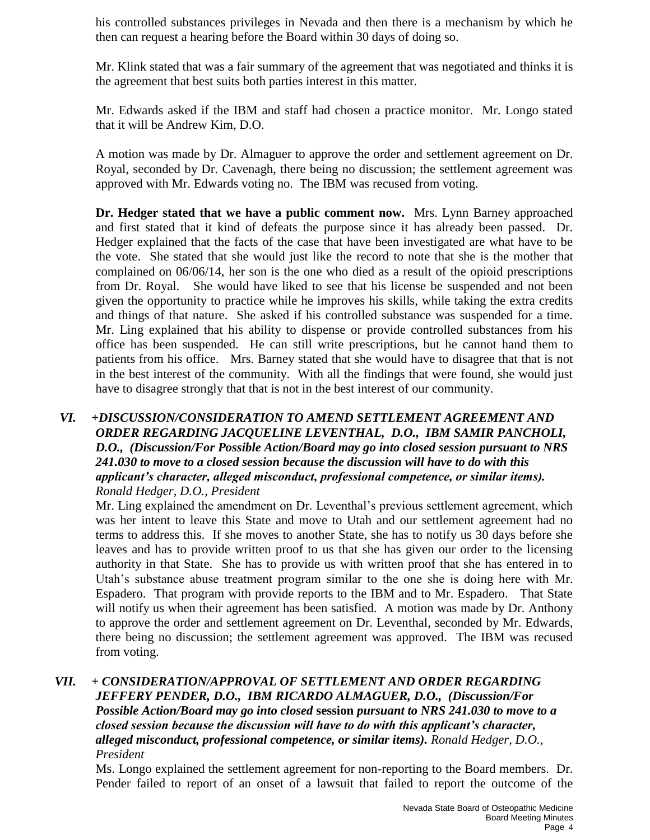his controlled substances privileges in Nevada and then there is a mechanism by which he then can request a hearing before the Board within 30 days of doing so.

Mr. Klink stated that was a fair summary of the agreement that was negotiated and thinks it is the agreement that best suits both parties interest in this matter.

Mr. Edwards asked if the IBM and staff had chosen a practice monitor. Mr. Longo stated that it will be Andrew Kim, D.O.

A motion was made by Dr. Almaguer to approve the order and settlement agreement on Dr. Royal, seconded by Dr. Cavenagh, there being no discussion; the settlement agreement was approved with Mr. Edwards voting no. The IBM was recused from voting.

**Dr. Hedger stated that we have a public comment now.** Mrs. Lynn Barney approached and first stated that it kind of defeats the purpose since it has already been passed. Dr. Hedger explained that the facts of the case that have been investigated are what have to be the vote. She stated that she would just like the record to note that she is the mother that complained on 06/06/14, her son is the one who died as a result of the opioid prescriptions from Dr. Royal. She would have liked to see that his license be suspended and not been given the opportunity to practice while he improves his skills, while taking the extra credits and things of that nature. She asked if his controlled substance was suspended for a time. Mr. Ling explained that his ability to dispense or provide controlled substances from his office has been suspended. He can still write prescriptions, but he cannot hand them to patients from his office. Mrs. Barney stated that she would have to disagree that that is not in the best interest of the community. With all the findings that were found, she would just have to disagree strongly that that is not in the best interest of our community.

#### *VI. +DISCUSSION/CONSIDERATION TO AMEND SETTLEMENT AGREEMENT AND ORDER REGARDING JACQUELINE LEVENTHAL, D.O., IBM SAMIR PANCHOLI, D.O., (Discussion/For Possible Action/Board may go into closed session pursuant to NRS 241.030 to move to a closed session because the discussion will have to do with this applicant's character, alleged misconduct, professional competence, or similar items). Ronald Hedger, D.O., President*

Mr. Ling explained the amendment on Dr. Leventhal's previous settlement agreement, which was her intent to leave this State and move to Utah and our settlement agreement had no terms to address this. If she moves to another State, she has to notify us 30 days before she leaves and has to provide written proof to us that she has given our order to the licensing authority in that State. She has to provide us with written proof that she has entered in to Utah's substance abuse treatment program similar to the one she is doing here with Mr. Espadero. That program with provide reports to the IBM and to Mr. Espadero. That State will notify us when their agreement has been satisfied. A motion was made by Dr. Anthony to approve the order and settlement agreement on Dr. Leventhal, seconded by Mr. Edwards, there being no discussion; the settlement agreement was approved. The IBM was recused from voting.

#### *VII. + CONSIDERATION/APPROVAL OF SETTLEMENT AND ORDER REGARDING JEFFERY PENDER, D.O., IBM RICARDO ALMAGUER, D.O., (Discussion/For Possible Action/Board may go into closed* **session** *pursuant to NRS 241.030 to move to a closed session because the discussion will have to do with this applicant's character, alleged misconduct, professional competence, or similar items). Ronald Hedger, D.O., President*

Ms. Longo explained the settlement agreement for non-reporting to the Board members. Dr. Pender failed to report of an onset of a lawsuit that failed to report the outcome of the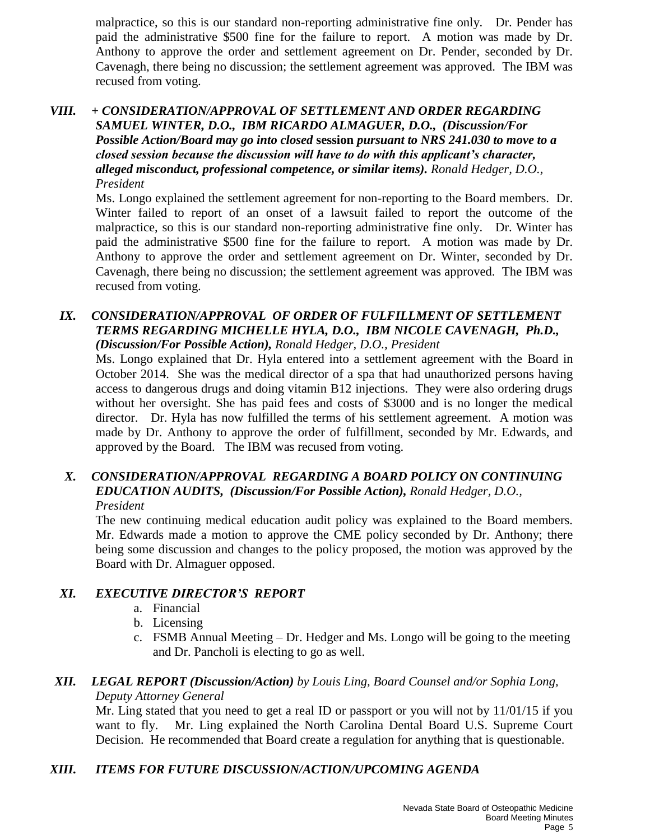malpractice, so this is our standard non-reporting administrative fine only. Dr. Pender has paid the administrative \$500 fine for the failure to report. A motion was made by Dr. Anthony to approve the order and settlement agreement on Dr. Pender, seconded by Dr. Cavenagh, there being no discussion; the settlement agreement was approved. The IBM was recused from voting.

#### *VIII. + CONSIDERATION/APPROVAL OF SETTLEMENT AND ORDER REGARDING SAMUEL WINTER, D.O., IBM RICARDO ALMAGUER, D.O., (Discussion/For Possible Action/Board may go into closed* **session** *pursuant to NRS 241.030 to move to a closed session because the discussion will have to do with this applicant's character, alleged misconduct, professional competence, or similar items). Ronald Hedger, D.O., President*

Ms. Longo explained the settlement agreement for non-reporting to the Board members. Dr. Winter failed to report of an onset of a lawsuit failed to report the outcome of the malpractice, so this is our standard non-reporting administrative fine only. Dr. Winter has paid the administrative \$500 fine for the failure to report. A motion was made by Dr. Anthony to approve the order and settlement agreement on Dr. Winter, seconded by Dr. Cavenagh, there being no discussion; the settlement agreement was approved. The IBM was recused from voting.

#### **IX. CONSIDERATION/APPROVAL OF ORDER OF FULFILLMENT OF SETTLEMENT** *TERMS REGARDING MICHELLE HYLA, D.O., IBM NICOLE CAVENAGH, Ph.D., (Discussion/For Possible Action), Ronald Hedger, D.O., President*

Ms. Longo explained that Dr. Hyla entered into a settlement agreement with the Board in October 2014. She was the medical director of a spa that had unauthorized persons having access to dangerous drugs and doing vitamin B12 injections. They were also ordering drugs without her oversight. She has paid fees and costs of \$3000 and is no longer the medical director. Dr. Hyla has now fulfilled the terms of his settlement agreement. A motion was made by Dr. Anthony to approve the order of fulfillment, seconded by Mr. Edwards, and approved by the Board. The IBM was recused from voting.

# *X. CONSIDERATION/APPROVAL REGARDING A BOARD POLICY ON CONTINUING EDUCATION AUDITS, (Discussion/For Possible Action), Ronald Hedger, D.O.,*

*President* 

The new continuing medical education audit policy was explained to the Board members. Mr. Edwards made a motion to approve the CME policy seconded by Dr. Anthony; there being some discussion and changes to the policy proposed, the motion was approved by the Board with Dr. Almaguer opposed.

## *XI. EXECUTIVE DIRECTOR'S REPORT*

- a. Financial
- b. Licensing
- c. FSMB Annual Meeting Dr. Hedger and Ms. Longo will be going to the meeting and Dr. Pancholi is electing to go as well.

#### *XII. LEGAL REPORT (Discussion/Action) by Louis Ling, Board Counsel and/or Sophia Long, Deputy Attorney General*

Mr. Ling stated that you need to get a real ID or passport or you will not by 11/01/15 if you want to fly. Mr. Ling explained the North Carolina Dental Board U.S. Supreme Court Decision. He recommended that Board create a regulation for anything that is questionable.

## *XIII. ITEMS FOR FUTURE DISCUSSION/ACTION/UPCOMING AGENDA*